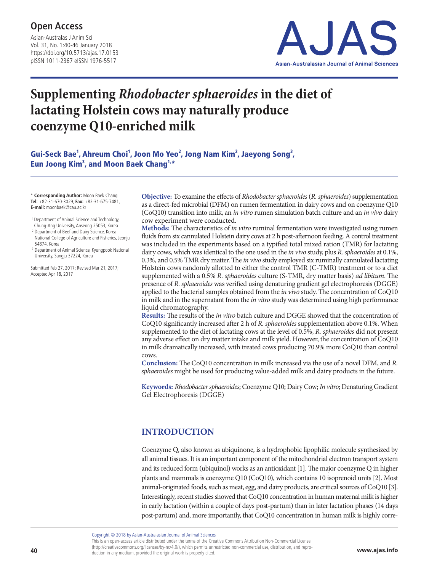Asian-Australas J Anim Sci Vol. 31, No. 1:40-46 January 2018 https://doi.org/10.5713/ajas.17.0153 pISSN 1011-2367 eISSN 1976-5517



# **Supplementing** *Rhodobacter sphaeroides* **in the diet of lactating Holstein cows may naturally produce coenzyme Q10-enriched milk**

Gui-Seck Bae<sup>1</sup>, Ahreum Choi<sup>1</sup>, Joon Mo Yeo<sup>2</sup>, Jong Nam Kim<sup>2</sup>, Jaeyong Song<sup>3</sup>, Eun Joong Kim<sup>3</sup>, and Moon Baek Chang<sup>1,\*</sup>

\* **Corresponding Author:** Moon Baek Chang **Tel:** +82-31-670-3029, **Fax:** +82-31-675-7481, **E-mail:** moonbaek@cau.ac.kr

- 1 Department of Animal Science and Technology,
- Chung-Ang University, Anseong 25053, Korea <sup>2</sup> Department of Beef and Dairy Science, Korea
- National College of Agriculture and Fisheries, Jeonju 54874, Korea
- <sup>3</sup> Department of Animal Science, Kyungpook National University, Sangju 37224, Korea

Submitted Feb 27, 2017; Revised Mar 21, 2017; Accepted Apr 18, 2017

**Objective:** To examine the effects of *Rhodobacter sphaeroides* (*R. sphaeroides*) supplementation as a direct-fed microbial (DFM) on rumen fermentation in dairy cows and on coenzyme Q10 (CoQ10) transition into milk, an *in vitro* rumen simulation batch culture and an *in vivo* dairy cow experiment were conducted.

**Methods:** The characteristics of *in vitro* ruminal fermentation were investigated using rumen fluids from six cannulated Holstein dairy cows at 2 h post-afternoon feeding. A control treatment was included in the experiments based on a typified total mixed ration (TMR) for lactating dairy cows, which was identical to the one used in the *in vivo* study, plus *R. sphaeroides* at 0.1%, 0.3%, and 0.5% TMR dry matter. The *in vivo* study employed six ruminally cannulated lactating Holstein cows randomly allotted to either the control TMR (C-TMR) treatment or to a diet supplemented with a 0.5% *R. sphaeroides* culture (S-TMR, dry matter basis) *ad libitum*. The presence of *R. sphaeroides* was verified using denaturing gradient gel electrophoresis (DGGE) applied to the bacterial samples obtained from the *in vivo* study. The concentration of CoQ10 in milk and in the supernatant from the *in vitro* study was determined using high performance liquid chromatography.

**Results:** The results of the *in vitro* batch culture and DGGE showed that the concentration of CoQ10 significantly increased after 2 h of *R. sphaeroides* supplementation above 0.1%. When supplemented to the diet of lactating cows at the level of 0.5%, *R. sphaeroides* did not present any adverse effect on dry matter intake and milk yield. However, the concentration of CoQ10 in milk dramatically increased, with treated cows producing 70.9% more CoQ10 than control cows.

**Conclusion:** The CoQ10 concentration in milk increased via the use of a novel DFM, and *R. sphaeroides* might be used for producing value-added milk and dairy products in the future.

**Keywords:** *Rhodobacter sphaeroides*; Coenzyme Q10; Dairy Cow; *In vitro*; Denaturing Gradient Gel Electrophoresis (DGGE)

## **INTRODUCTION**

Coenzyme Q, also known as ubiquinone, is a hydrophobic lipophilic molecule synthesized by all animal tissues. It is an important component of the mitochondrial electron transport system and its reduced form (ubiquinol) works as an antioxidant [1]. The major coenzyme Q in higher plants and mammals is coenzyme Q10 (CoQ10), which contains 10 isoprenoid units [2]. Most animal-originated foods, such as meat, egg, and dairy products, are critical sources of CoQ10 [3]. Interestingly, recent studies showed that CoQ10 concentration in human maternal milk is higher in early lactation (within a couple of days post-partum) than in later lactation phases (14 days post-partum) and, more importantly, that CoQ10 concentration in human milk is highly corre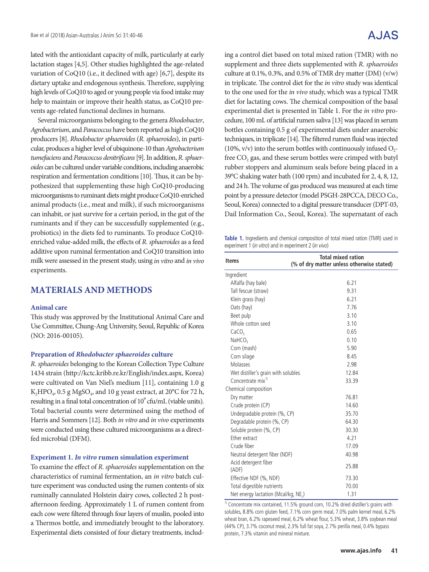lated with the antioxidant capacity of milk, particularly at early lactation stages [4,5]. Other studies highlighted the age-related variation of CoQ10 (i.e., it declined with age) [6,7], despite its dietary uptake and endogenous synthesis. Therefore, supplying high levels of CoQ10 to aged or young people via food intake may help to maintain or improve their health status, as CoQ10 prevents age-related functional declines in humans.

Several microorganisms belonging to the genera *Rhodobacter*, *Agrobacterium*, and *Paracoccus* have been reported as high CoQ10 producers [8]. *Rhodobacter sphaeroides* (*R. sphaeroides*), in particular, produces a higher level of ubiquinone-10 than *Agrobacterium tumefaciens* and *Paracoccus denitrificans* [9]. In addition, *R. sphaeroides* can be cultured under variable conditions, including anaerobic respiration and fermentation conditions [10]. Thus, it can be hypothesized that supplementing these high CoQ10-producing microorganisms to ruminant diets might produce CoQ10-enriched animal products (i.e., meat and milk), if such microorganisms can inhabit, or just survive for a certain period, in the gut of the ruminants and if they can be successfully supplemented (e.g., probiotics) in the diets fed to ruminants. To produce CoQ10 enriched value-added milk, the effects of *R. sphaeroides* as a feed additive upon ruminal fermentation and CoQ10 transition into milk were assessed in the present study, using *in vitro* and *in vivo* experiments.

## **MATERIALS AND METHODS**

#### **Animal care**

This study was approved by the Institutional Animal Care and Use Committee, Chung-Ang University, Seoul, Republic of Korea (NO: 2016-00105).

#### **Preparation of** *Rhodobacter sphaeroides* **culture**

*R. sphaeroides* belonging to the Korean Collection Type Culture 1434 strain (http://kctc.kribb.re.kr/English/index.aspx, Korea) were cultivated on Van Niel's medium [11], containing 1.0 g K<sub>2</sub>HPO<sub>4</sub>, 0.5 g MgSO<sub>4</sub>, and 10 g yeast extract, at 20 $^{\circ}$ C for 72 h, resulting in a final total concentration of 10<sup>9</sup> cfu/mL (viable units). Total bacterial counts were determined using the method of Harris and Sommers [12]. Both *in vitro* and *in vivo* experiments were conducted using these cultured microorganisms as a directfed microbial (DFM).

#### **Experiment 1.** *In vitro* **rumen simulation experiment**

To examine the effect of *R. sphaeroides* supplementation on the characteristics of ruminal fermentation, an *in vitro* batch culture experiment was conducted using the rumen contents of six ruminally cannulated Holstein dairy cows, collected 2 h postafternoon feeding. Approximately 1 L of rumen content from each cow were filtered through four layers of muslin, pooled into a Thermos bottle, and immediately brought to the laboratory. Experimental diets consisted of four dietary treatments, including a control diet based on total mixed ration (TMR) with no supplement and three diets supplemented with *R. sphaeroides* culture at 0.1%, 0.3%, and 0.5% of TMR dry matter (DM) (v/w) in triplicate. The control diet for the *in vitro* study was identical to the one used for the *in vivo* study, which was a typical TMR diet for lactating cows. The chemical composition of the basal experimental diet is presented in Table 1. For the *in vitro* procedure, 100 mL of artificial rumen saliva [13] was placed in serum bottles containing 0.5 g of experimental diets under anaerobic techniques, in triplicate [14]. The filtered rumen fluid was injected  $(10\%, v/v)$  into the serum bottles with continuously infused  $O<sub>2</sub>$ free CO<sub>2</sub> gas, and these serum bottles were crimped with butyl rubber stoppers and aluminum seals before being placed in a 39°C shaking water bath (100 rpm) and incubated for 2, 4, 8, 12, and 24 h. The volume of gas produced was measured at each time point by a pressure detector (model PSGH-28PCCA, DECO Co., Seoul, Korea) connected to a digital pressure transducer (DPT-03, Dail Information Co., Seoul, Korea). The supernatant of each

**Table 1.** Ingredients and chemical composition of total mixed ration (TMR) used in experiment 1 (in vitro) and in experiment 2 (in vivo)

| <b>Items</b>                        | <b>Total mixed ration</b><br>(% of dry matter unless otherwise stated) |
|-------------------------------------|------------------------------------------------------------------------|
| Ingredient                          |                                                                        |
| Alfalfa (hay bale)                  | 6.21                                                                   |
| Tall fescue (straw)                 | 9.31                                                                   |
| Klein grass (hay)                   | 6.21                                                                   |
| Oats (hay)                          | 7.76                                                                   |
| Beet pulp                           | 3.10                                                                   |
| Whole cotton seed                   | 3.10                                                                   |
| CaCO <sub>3</sub>                   | 0.65                                                                   |
| NAHCO <sub>3</sub>                  | 0.10                                                                   |
| Corn (mash)                         | 5.90                                                                   |
| Corn silage                         | 8.45                                                                   |
| Molasses                            | 2.98                                                                   |
| Wet distiller's grain with solubles | 12.84                                                                  |
| Concentrate mix <sup>1)</sup>       | 33.39                                                                  |
| Chemical composition                |                                                                        |
| Dry matter                          | 76.81                                                                  |
| Crude protein (CP)                  | 14.60                                                                  |
| Undegradable protein (%, CP)        | 35.70                                                                  |
| Degradable protein (%, CP)          | 64.30                                                                  |
| Soluble protein (%, CP)             | 30.30                                                                  |
| <b>Fther extract</b>                | 4.21                                                                   |
| Crude fiber                         | 17.09                                                                  |
| Neutral detergent fiber (NDF)       | 40.98                                                                  |
| Acid detergent fiber<br>(ADF)       | 25.88                                                                  |
| Effective NDF (%, NDF)              | 73.30                                                                  |
| Total digestible nutrients          | 70.00                                                                  |
| Net energy lactation (Mcal/kg, NE,) | 1.31                                                                   |

<sup>1)</sup> Concentrate mix contained, 11.5% ground corn, 10.2% dried distiller's grains with solubles, 8.8% corn gluten feed, 7.1% corn germ meal, 7.0% palm kernel meal, 6.2% wheat bran, 6.2% rapeseed meal, 6.2% wheat flour, 5.3% wheat, 3.8% soybean meal (44% CP), 3.7% coconut meal, 2.3% full fat soya, 2.7% perilla meal, 0.4% bypass protein, 7.3% vitamin and mineral mixture.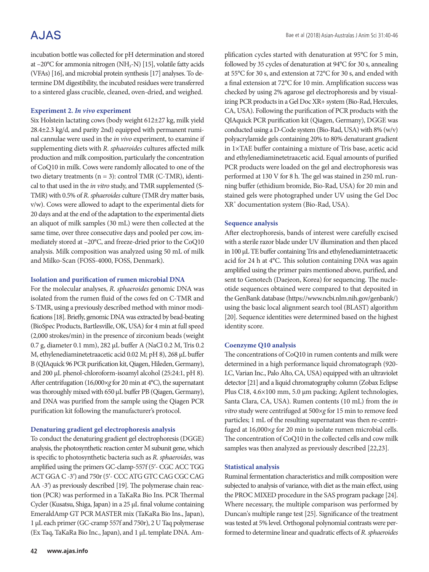## **AJAS**

incubation bottle was collected for pH determination and stored at  $-20^{\circ}$ C for ammonia nitrogen (NH<sub>3</sub>-N) [15], volatile fatty acids (VFAs) [16], and microbial protein synthesis [17] analyses. To determine DM digestibility, the incubated residues were transferred to a sintered glass crucible, cleaned, oven-dried, and weighed.

#### **Experiment 2.** *In vivo* **experiment**

Six Holstein lactating cows (body weight 612±27 kg, milk yield 28.4±2.3 kg/d, and parity 2nd) equipped with permanent ruminal cannulae were used in the *in vivo* experiment, to examine if supplementing diets with *R. sphaeroides* cultures affected milk production and milk composition, particularly the concentration of CoQ10 in milk. Cows were randomly allocated to one of the two dietary treatments (n = 3): control TMR (C-TMR), identical to that used in the *in vitro* study, and TMR supplemented (S-TMR) with 0.5% of *R. sphaeroides* culture (TMR dry matter basis, v/w). Cows were allowed to adapt to the experimental diets for 20 days and at the end of the adaptation to the experimental diets an aliquot of milk samples (30 mL) were then collected at the same time, over three consecutive days and pooled per cow, immediately stored at –20°C, and freeze-dried prior to the CoQ10 analysis. Milk composition was analyzed using 50 mL of milk and Milko-Scan (FOSS-4000, FOSS, Denmark).

#### **Isolation and purification of rumen microbial DNA**

For the molecular analyses, *R. sphaeroides* genomic DNA was isolated from the rumen fluid of the cows fed on C-TMR and S-TMR, using a previously described method with minor modifications [18]. Briefly, genomic DNA was extracted by bead-beating (BioSpec Products, Bartlesville, OK, USA) for 4 min at full speed (2,000 strokes/min) in the presence of zirconium beads (weight 0.7 g, diameter 0.1 mm), 282 μL buffer A (NaCl 0.2 M, Tris 0.2 M, ethylenediaminetetraacetic acid 0.02 M; pH 8), 268 μL buffer B (QIAquick 96 PCR purification kit, Qiagen, Hileden, Germany), and 200 μL phenol-chloroform-isoamyl alcohol (25:24:1, pH 8). After centrifugation (16,000×*g* for 20 min at 4°C), the supernatant was thoroughly mixed with 650 μL buffer PB (Qiagen, Germany), and DNA was purified from the sample using the Qiagen PCR purification kit following the manufacturer's protocol.

### **Denaturing gradient gel electrophoresis analysis**

To conduct the denaturing gradient gel electrophoresis (DGGE) analysis, the photosynthetic reaction center M subunit gene, which is specific to photosynthetic bacteria such as *R. sphaeroides*, was amplified using the primers GC-clamp-557f (5′- CGC ACC TGG ACT GGA C -3′) and 750r (5′- CCC ATG GTC CAG CGC CAG AA -3′) as previously described [19]. The polymerase chain reaction (PCR) was performed in a TaKaRa Bio Ins. PCR Thermal Cycler (Kusatsu, Shiga, Japan) in a 25 μL final volume containing EmeraldAmp GT PCR MASTER mix (TaKaRa Bio Ins., Japan), 1 μL each primer (GC-cramp 557f and 750r), 2 U Taq polymerase (Ex Taq, TaKaRa Bio Inc., Japan), and 1 μL template DNA. Amplification cycles started with denaturation at 95°C for 5 min, followed by 35 cycles of denaturation at 94°C for 30 s, annealing at 55°C for 30 s, and extension at 72°C for 30 s, and ended with a final extension at 72°C for 10 min. Amplification success was checked by using 2% agarose gel electrophoresis and by visualizing PCR products in a Gel Doc XR+ system (Bio-Rad, Hercules, CA, USA). Following the purification of PCR products with the QIAquick PCR purification kit (Qiagen, Germany), DGGE was conducted using a D-Code system (Bio-Rad, USA) with 8% (w/v) polyacrylamide gels containing 20% to 80% denaturant gradient in 1×TAE buffer containing a mixture of Tris base, acetic acid and ethylenediaminetetraacetic acid. Equal amounts of purified PCR products were loaded on the gel and electrophoresis was performed at 130 V for 8 h. The gel was stained in 250 mL running buffer (ethidium bromide, Bio-Rad, USA) for 20 min and stained gels were photographed under UV using the Gel Doc XR+ documentation system (Bio-Rad, USA).

### **Sequence analysis**

After electrophoresis, bands of interest were carefully excised with a sterile razor blade under UV illumination and then placed in 100 μL TE buffer containing Tris and ethylenediamintetraacetic acid for 24 h at 4°C. This solution containing DNA was again amplified using the primer pairs mentioned above, purified, and sent to Genotech (Daejeon, Korea) for sequencing. The nucleotide sequences obtained were compared to that deposited in the GenBank database (https://www.ncbi.nlm.nih.gov/genbank/) using the basic local alignment search tool (BLAST) algorithm [20]. Sequence identities were determined based on the highest identity score.

### **Coenzyme Q10 analysis**

The concentrations of CoQ10 in rumen contents and milk were determined in a high performance liquid chromatograph (920- LC, Varian Inc., Palo Alto, CA, USA) equipped with an ultraviolet detector [21] and a liquid chromatography column (Zobax Eclipse Plus C18, 4.6×100 mm, 5.0 μm packing; Agilent technologies, Santa Clara, CA, USA). Rumen contents (10 mL) from the *in vitro* study were centrifuged at 500×*g* for 15 min to remove feed particles; 1 mL of the resulting supernatant was then re-centrifuged at 16,000×*g* for 20 min to isolate rumen microbial cells. The concentration of CoQ10 in the collected cells and cow milk samples was then analyzed as previously described [22,23].

### **Statistical analysis**

Ruminal fermentation characteristics and milk composition were subjected to analysis of variance, with diet as the main effect, using the PROC MIXED procedure in the SAS program package [24]. Where necessary, the multiple comparison was performed by Duncan's multiple range test [25]. Significance of the treatment was tested at 5% level. Orthogonal polynomial contrasts were performed to determine linear and quadratic effects of *R. sphaeroides*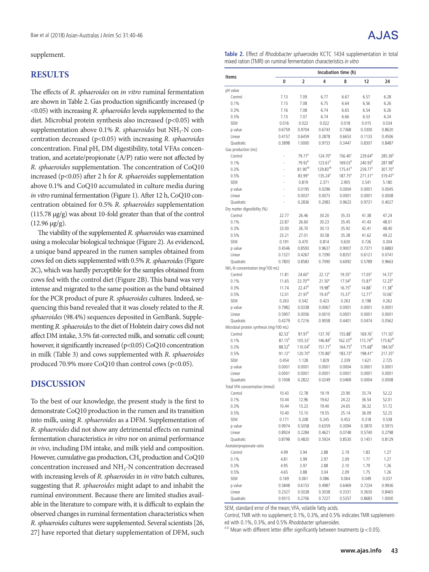supplement.

## **RESULTS**

The effects of *R. sphaeroides* on *in vitro* ruminal fermentation are shown in Table 2. Gas production significantly increased (p <0.05) with increasing *R. sphaeroides* levels supplemented to the diet. Microbial protein synthesis also increased  $(p<0.05)$  with supplementation above 0.1% *R. sphaeroides* but NH<sub>3</sub>-N concentration decreased (p<0.05) with increasing *R. sphaeroides* concentration. Final pH, DM digestibility, total VFAs concentration, and acetate/propionate (A/P) ratio were not affected by *R. sphaeroides* supplementation. The concentration of CoQ10 increased (p<0.05) after 2 h for *R. sphaeroides* supplementation above 0.1% and CoQ10 accumulated in culture media during *in vitro* ruminal fermentation (Figure 1). After 12 h, CoQ10 concentration obtained for 0.5% *R. sphaeroides* supplementation (115.78 μg/g) was about 10-fold greater than that of the control  $(12.96 \mu g/g)$ .

The viability of the supplemented *R. sphaeroides* was examined using a molecular biological technique (Figure 2). As evidenced, a unique band appeared in the rumen samples obtained from cows fed on diets supplemented with 0.5% *R. sphaeroides* (Figure 2C), which was hardly perceptible for the samples obtained from cows fed with the control diet (Figure 2B). This band was very intense and migrated to the same position as the band obtained for the PCR product of pure *R. sphaeroides* cultures. Indeed, sequencing this band revealed that it was closely related to the *R. sphaeroides* (98.4%) sequences deposited in GenBank. Supplementing *R. sphaeroides* to the diet of Holstein dairy cows did not affect DM intake, 3.5% fat-corrected milk, and somatic cell count; however, it significantly increased (p<0.05) CoQ10 concentration in milk (Table 3) and cows supplemented with *R. sphaeroides* produced 70.9% more CoQ10 than control cows (p<0.05).

## **DISCUSSION**

To the best of our knowledge, the present study is the first to demonstrate CoQ10 production in the rumen and its transition into milk, using *R. sphaeroides* as a DFM. Supplementation of *R. sphaeroides* did not show any detrimental effects on ruminal fermentation characteristics *in vitro* nor on animal performance *in vivo*, including DM intake, and milk yield and composition. However, cumulative gas production, CH<sub>4</sub> production and CoQ10 concentration increased and NH<sub>3</sub>-N concentration decreased with increasing levels of *R. sphaeroides* in *in vitro* batch cultures, suggesting that *R. sphaeroides* might adapt to and inhabit the ruminal environment. Because there are limited studies available in the literature to compare with, it is difficult to explain the observed changes in ruminal fermentation characteristics when *R. sphaeroides* cultures were supplemented. Several scientists [26, 27] have reported that dietary supplementation of DFM, such

**Table 2.** Effect of Rhodobacter sphaeroides KCTC 1434 supplementation in total mixed ration (TMR) on ruminal fermentation characteristics in vitro

|                                              |                    |                     |                     | Incubation time (h) |                      |                      |
|----------------------------------------------|--------------------|---------------------|---------------------|---------------------|----------------------|----------------------|
| Items                                        | 0                  | 2                   | 4                   | 8                   | 12                   | 24                   |
| pH value                                     |                    |                     |                     |                     |                      |                      |
| Control                                      | 7.13               | 7.09                | 6.77                | 6.67                | 6.57                 | 6.28                 |
| 0.1%                                         | 7.15               | 7.08                | 6.75                | 6.64                | 6.56                 | 6.26                 |
| 0.3%                                         | 7.16               | 7.08                | 6.74                | 6.65                | 6.54                 | 6.26                 |
| 0.5%                                         | 7.15               | 7.07                | 6.74                | 6.66                | 6.53                 | 6.24                 |
| SEM                                          | 0.016              | 0.022               | 0.022               | 0.018               | 0.015                | 0.034                |
| p value                                      | 0.6759             | 0.9704              | 0.6743              | 0.7368              | 0.3300               | 0.8620               |
| Linear                                       | 0.4157             | 0.6459              | 0.2878              | 0.6653              | 0.1133               | 0.4506               |
| Quadratic                                    | 0.3898             | 1.0000              | 0.9733              | 0.3447              | 0.8307               | 0.8487               |
| Gas production (mL)                          |                    |                     |                     |                     |                      |                      |
| Control                                      | Ĭ.                 | 79.71 <sup>B</sup>  | 124.70 <sup>8</sup> | 156.40 <sup>c</sup> | 229.64 <sup>B</sup>  | 285.36 <sup>B</sup>  |
| 0.1%                                         |                    | $79.92^{8}$         | $123.61^8$          | $169.03^{8}$        | 240.93 <sup>B</sup>  | 287.98 <sup>B</sup>  |
| 0.3%                                         |                    | 81.90 <sup>AB</sup> | 129.83AB            | $175.41^8$          | 259.77 <sup>A</sup>  | $307.70^{A}$         |
| 0.5%                                         |                    | $83.99^{A}$         | $135.24^{A}$        | $187.75^{A}$        | 271.31 <sup>A</sup>  | $319.47^A$           |
| SEM                                          |                    | 0.819               | 2.371               | 2.905               | 3.541                | 5.180                |
| p value                                      |                    | 0.0195              | 0.0296              | 0.0004              | 0.0001               | 0.0045               |
| Linear                                       |                    | 0.0037              | 0.0073              | 0.0001              | 0.0001               | 0.0008               |
| Quadratic                                    |                    | 0.2836              | 0.2083              | 0.9623              | 0.9731               | 0.4027               |
| Dry matter digestibility (%)<br>Control      | 22.77              | 26.46               |                     |                     | 41.38                | 47.24                |
|                                              |                    |                     | 30.20               | 35.33               |                      |                      |
| 0.1%<br>0.3%                                 | 22.87<br>23.00     | 26.60<br>26.70      | 30.23<br>30.13      | 35.45<br>35.92      | 41.43<br>42.41       | 48.01<br>48.40       |
| 0.5%                                         | 23.21              | 27.01               | 30.58               | 35.38               | 41.62                | 49.22                |
| <b>SFM</b>                                   | 0.191              | 0.470               | 0.814               | 0.630               | 0.726                | 0.304                |
| p value                                      | 0.4546             | 0.8593              | 0.9637              | 0.9007              | 0.7371               | 0.6883               |
| Linear                                       | 0.1321             | 0.4267              | 0.7390              | 0.8357              | 0.6121               | 0.0741               |
| Quadratic                                    | 0.7803             | 0.8583              | 0.7090              | 0.6092              | 0.5789               | 0.9663               |
| NH <sub>3</sub> -N concentration (mg/100 mL) |                    |                     |                     |                     |                      |                      |
| Control                                      | 11.81              | 24.60 <sup>A</sup>  | 22.12 <sup>A</sup>  | $19.35^{A}$         | $17.05^{A}$          | $14.72^{A}$          |
| 0.1%                                         | 11.65              | 23.70 <sup>AB</sup> | 21.50 <sup>A</sup>  | $17.54^{8}$         | $15.81^{8}$          | $12.23^{B}$          |
| 0.3%                                         | 11.74              | $22.47^8$           | 19.98 <sup>B</sup>  | $16.75^{B}$         | 14.88 <sup>c</sup>   | $11.38^{B}$          |
| 0.5%                                         | 12.01              | $21.97^{B}$         | $19.47^{8}$         | 15.37 <sup>c</sup>  | $12.71^{D}$          | $10.06^{\circ}$      |
| SEM                                          | 0.263              | 0.542               | 0.423               | 0.263               | 0.198                | 0.262                |
| p value                                      | 0.7982             | 0.0338              | 0.0067              | 0.0001              | 0.0001               | 0.0001               |
| Linear                                       | 0.5907             | 0.0056              | 0.0010              | 0.0001              | 0.0001               | 0.0001               |
| Quadratic                                    | 0.4279             | 0.7216              | 0.9058              | 0.4401              | 0.0474               | 0.0562               |
| Microbial protein synthesis (mg/100 mL)      |                    |                     |                     |                     |                      |                      |
| Control                                      | $82.53^c$          | $97.97^0$           | $137.76^c$          | 155.88 <sup>C</sup> | $169.76^{\circ}$     | $171.50^{\circ}$     |
| 0.1%                                         | $87.15^{8}$        | $105.33^c$          | $146.84^{8}$        | $162.33^{BC}$       | 173.74 <sup>BC</sup> | 175.82 <sup>BC</sup> |
| 0.3%                                         | 88.52 <sup>B</sup> | $110.04^8$          | $151.71^8$          | $164.75^{8}$        | 175.68 <sup>B</sup>  | 184.50 <sup>B</sup>  |
| 0.5%                                         | $91.12^{A}$        | $120.70^{A}$        | 170.86 <sup>A</sup> | 183.73 <sup>A</sup> | 198.41 <sup>A</sup>  | $217.35^{A}$         |
| <b>SEM</b>                                   | 0.454              | 1.128               | 1.829               | 2.339               | 1.621                | 2.725                |
| p value                                      | 0.0001             | 0.0001              | 0.0001              | 0.0004              | 0.0001               | 0.0001               |
| Linear                                       | 0.0001             | 0.0001              | 0.0001              | 0.0001              | 0.0001               | 0.0001               |
| Quadratic                                    | 0.1008             | 0.2822              | 0.0249              | 0.0469              | 0.0004               | 0.0008               |
| Total VFA concentration (mmol)               |                    |                     |                     |                     |                      |                      |
| Control                                      | 10.43              | 12.78               | 19.19               | 23.90               | 35.74                | 52.22                |
| 0.1%                                         | 10.44              | 12.96               | 19.62               | 24.22               | 36.54                | 52.01                |
| 0.3%                                         | 10.44              | 13.23               | 19.40               | 24.65               | 36.32                | 51.72                |
| 0.5%                                         | 10.40              | 13.10               | 19.55               | 25.14               | 36.09                | 52.25                |
| SEM<br>p value                               | 0.171<br>0.9974    | 0.208               | 0.245               | 0.453               | 0.318<br>0.3870      | 0.538<br>0.5915      |
| Linear                                       | 0.8924             | 0.5058<br>0.2284    | 0.6359<br>0.4621    | 0.3094<br>0.0748    | 0.5740               | 0.2798               |
| Quadratic                                    | 0.8798             | 0.4820              | 0.5924              | 0.8530              | 0.1451               | 0.8129               |
| Acetate/propionate ratio                     |                    |                     |                     |                     |                      |                      |
| Control                                      | 4.99               | 3.94                | 2.88                | 2.19                | 1.83                 | 1.27                 |
| 0.1%                                         | 4.81               | 3.99                | 2.97                | 2.09                | 1.77                 | 1.27                 |
| 0.3%                                         | 4.95               | 3.97                | 2.88                | 2.10                | 1.79                 | 1.26                 |
| 0.5%                                         | 4.65               | 3.88                | 3.04                | 2.09                | 1.75                 | 1.26                 |
| SEM                                          | 0.169              | 0.061               | 0.086               | 0.064               | 0.049                | 0.037                |
| p value                                      | 0.5848             | 0.6153              | 0.4987              | 0.6469              | 0.7234               | 0.9936               |
| Linear                                       | 0.2327             | 0.5028              | 0.3038              | 0.3331              | 0.3630               | 0.8465               |
| Quadratic                                    | 0.9315             | 0.2706              | 0.7227              | 0.5357              | 0.8683               | 1.0000               |

SEM, standard error of the mean; VFA, volatile fatty acids.

Control, TMR with no supplement; 0.1%, 0.3%, and 0.5% indicates TMR supplement-<br>ed with 0.1%, 0.3%, and 0.5% Rhodobacter sphaeroides.

 $A-D$  Mean with different letter differ significantly between treatments (p < 0.05).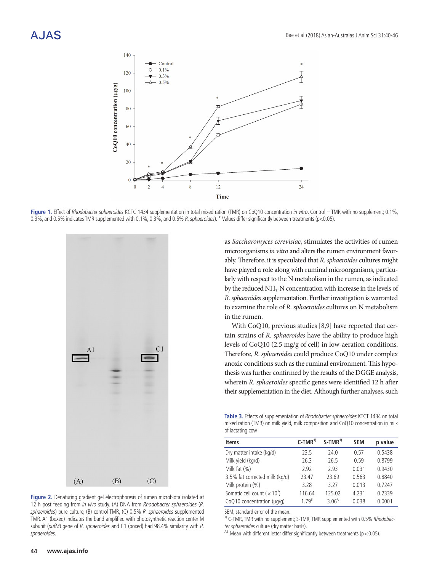

Figure 1. Effect of Rhodobacter sphaeroides KCTC 1434 supplementation in total mixed ration (TMR) on CoQ10 concentration in vitro. Control = TMR with no supplement; 0.1%, 0.3%, and 0.5% indicates TMR supplemented with 0.1%, 0.3%, and 0.5% R. sphaeroides). \* Values differ significantly between treatments (p<0.05).



**Figure 2.** Denaturing gradient gel electrophoresis of rumen microbiota isolated at 12 h post feeding from in vivo study. (A) DNA from Rhodobacter sphaeroides (R. sphaeroides) pure culture, (B) control TMR, (C) 0.5% R. sphaeroides supplemented TMR. A1 (boxed) indicates the band amplified with photosynthetic reaction center M subunit (pufM) gene of R. sphaeroides and C1 (boxed) had 98.4% similarity with R. sphaeroides.

as *Saccharomyces cerevisiae*, stimulates the activities of rumen microorganisms *in vitro* and alters the rumen environment favorably. Therefore, it is speculated that *R. sphaeroides* cultures might have played a role along with ruminal microorganisms, particularly with respect to the N metabolism in the rumen, as indicated by the reduced NH<sub>3</sub>-N concentration with increase in the levels of *R. sphaeroides* supplementation. Further investigation is warranted to examine the role of *R. sphaeroides* cultures on N metabolism in the rumen.

With CoQ10, previous studies [8,9] have reported that certain strains of *R. sphaeroides* have the ability to produce high levels of CoQ10 (2.5 mg/g of cell) in low-aeration conditions. Therefore, *R. sphaeroides* could produce CoQ10 under complex anoxic conditions such as the ruminal environment. This hypothesis was further confirmed by the results of the DGGE analysis, wherein *R. sphaeroides* specific genes were identified 12 h after their supplementation in the diet. Although further analyses, such

**Table 3.** Effects of supplementation of Rhodobacter sphaeroides KTCT 1434 on total mixed ration (TMR) on milk yield, milk composition and CoQ10 concentration in milk of lactating cow

| <b>Items</b>                                    | $C-TMR^{1}$ | $S-TMR^{1}$       | <b>SEM</b> | p value |
|-------------------------------------------------|-------------|-------------------|------------|---------|
| Dry matter intake (kg/d)                        | 23.5        | 74.0              | 0.57       | 0.5438  |
| Milk yield (kg/d)                               | 26.3        | 26.5              | 0.59       | 0.8799  |
| Milk fat $(%)$                                  | 2.92        | 2.93              | 0.031      | 0.9430  |
| 3.5% fat corrected milk (kg/d)                  | 23.47       | 23.69             | 0.563      | 0.8840  |
| Milk protein (%)                                | 3.28        | 3.27              | 0.013      | 0.7247  |
| Somatic cell count ( $\times$ 10 <sup>3</sup> ) | 116.64      | 125.02            | 4.231      | 0.2339  |
| CoQ10 concentration (µq/q)                      | $179^B$     | 3.06 <sup>A</sup> | 0.038      | 0.0001  |

SEM, standard error of the mean.

<sup>1)</sup> C-TMR, TMR with no supplement; S-TMR, TMR supplemented with 0.5% Rhodobacter sphaeroides culture (dry matter basis).

 $A,B$  Mean with different letter differ significantly between treatments (p < 0.05).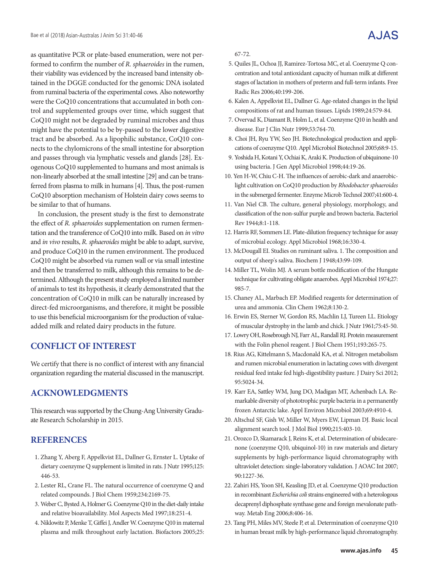as quantitative PCR or plate-based enumeration, were not performed to confirm the number of *R. sphaeroides* in the rumen, their viability was evidenced by the increased band intensity obtained in the DGGE conducted for the genomic DNA isolated from ruminal bacteria of the experimental cows. Also noteworthy were the CoQ10 concentrations that accumulated in both control and supplemented groups over time, which suggest that CoQ10 might not be degraded by ruminal microbes and thus might have the potential to be by-passed to the lower digestive tract and be absorbed. As a lipophilic substance, CoQ10 connects to the chylomicrons of the small intestine for absorption and passes through via lymphatic vessels and glands [28]. Exogenous CoQ10 supplemented to humans and most animals is non-linearly absorbed at the small intestine [29] and can be transferred from plasma to milk in humans [4]. Thus, the post-rumen CoQ10 absorption mechanism of Holstein dairy cows seems to be similar to that of humans.

In conclusion, the present study is the first to demonstrate the effect of *R. sphaeroides* supplementation on rumen fermentation and the transference of CoQ10 into milk. Based on *in vitro* and *in vivo* results, *R. sphaeroides* might be able to adapt, survive, and produce CoQ10 in the rumen environment. The produced CoQ10 might be absorbed via rumen wall or via small intestine and then be transferred to milk, although this remains to be determined. Although the present study employed a limited number of animals to test its hypothesis, it clearly demonstrated that the concentration of CoQ10 in milk can be naturally increased by direct-fed microorganisms, and therefore, it might be possible to use this beneficial microorganism for the production of valueadded milk and related dairy products in the future.

## **CONFLICT OF INTEREST**

We certify that there is no conflict of interest with any financial organization regarding the material discussed in the manuscript.

## **ACKNOWLEDGMENTS**

This research was supported by the Chung-Ang University Graduate Research Scholarship in 2015.

### **REFERENCES**

- 1. Zhang Y, Aberg F, Appelkvist EL, Dallner G, Ernster L. Uptake of dietary coenzyme Q supplement is limited in rats. J Nutr 1995;125: 446-53.
- 2. Lester RL, Crane FL. The natural occurrence of coenzyme Q and related compounds. J Biol Chem 1959;234:2169-75.
- 3. Weber C, Bysted A, Holmer G. Coenzyme Q10 in the diet-daily intake and relative bioavailability. Mol Aspects Med 1997;18:251-4.
- 4. Niklowitz P, Menke T, Giffei J, Andler W. Coenzyme Q10 in maternal plasma and milk throughout early lactation. Biofactors 2005;25:
- 5. Quiles JL, Ochoa JJ, Ramirez-Tortosa MC, et al. Coenzyme Q concentration and total antioxidant capacity of human milk at different stages of lactation in mothers of preterm and full-term infants. Free Radic Res 2006;40:199-206.
- 6. Kalen A, Appelkvist EL, Dallner G. Age-related changes in the lipid compositions of rat and human tissues. Lipids 1989;24:579-84.
- 7. Overvad K, Diamant B, Holm L, et al. Coenzyme Q10 in health and disease. Eur J Clin Nutr 1999;53:764-70.
- 8. Choi JH, Ryu YW, Seo JH. Biotechnological production and applications of coenzyme Q10. Appl Microbiol Biotechnol 2005;68:9-15.
- 9. Yoshida H, Kotani Y, Ochiai K, Araki K. Production of ubiquinone-10 using bacteria. J Gen Appl Microbiol 1998;44:19-26.
- 10. Yen H-W, Chiu C-H. The influences of aerobic-dark and anaerobiclight cultivation on CoQ10 production by *Rhodobacter sphaeroides*  in the submerged fermenter. Enzyme Microb Technol 2007;41:600-4.
- 11. Van Niel CB. The culture, general physiology, morphology, and classification of the non-sulfur purple and brown bacteria. Bacteriol Rev 1944;8:1-118.
- 12. Harris RF, Sommers LE. Plate-dilution frequency technique for assay of microbial ecology. Appl Microbiol 1968;16:330-4.
- 13. McDougall EI. Studies on ruminant saliva. 1. The composition and output of sheep's saliva. Biochem J 1948;43:99-109.
- 14. Miller TL, Wolin MJ. A serum bottle modification of the Hungate technique for cultivating obligate anaerobes. Appl Microbiol 1974;27: 985-7.
- 15. Chaney AL, Marbach EP. Modified reagents for determination of urea and ammonia. Clin Chem 1962;8:130-2.
- 16. Erwin ES, Sterner W, Gordon RS, Machlin LJ, Tureen LL. Etiology of muscular dystrophy in the lamb and chick. J Nutr 1961;75:45-50.
- 17. Lowry OH, Rosebrough NJ, Farr AL, Randall RJ. Protein measurement with the Folin phenol reagent. J Biol Chem 1951;193:265-75.
- 18. Rius AG, Kittelmann S, Macdonald KA, et al. Nitrogen metabolism and rumen microbial enumeration in lactating cows with divergent residual feed intake fed high-digestibility pasture. J Dairy Sci 2012; 95:5024-34.
- 19. Karr EA, Sattley WM, Jung DO, Madigan MT, Achenbach LA. Remarkable diversity of phototrophic purple bacteria in a permanently frozen Antarctic lake. Appl Environ Microbiol 2003;69:4910-4.
- 20. Altschul SF, Gish W, Miller W, Myers EW, Lipman DJ. Basic local alignment search tool. J Mol Biol 1990;215:403-10.
- 21. Orozco D, Skamarack J, Reins K, et al. Determination of ubidecarenone (coenzyme Q10, ubiquinol-10) in raw materials and dietary supplements by high-performance liquid chromatography with ultraviolet detection: single-laboratory validation. J AOAC Int 2007; 90:1227-36.
- 22. Zahiri HS, Yoon SH, Keasling JD, et al. Coenzyme Q10 production in recombinant *Escherichia coli* strains engineered with a heterologous decaprenyl diphosphate synthase gene and foreign mevalonate pathway. Metab Eng 2006;8:406-16.
- 23. Tang PH, Miles MV, Steele P, et al. Determination of coenzyme Q10 in human breast milk by high-performance liquid chromatography.